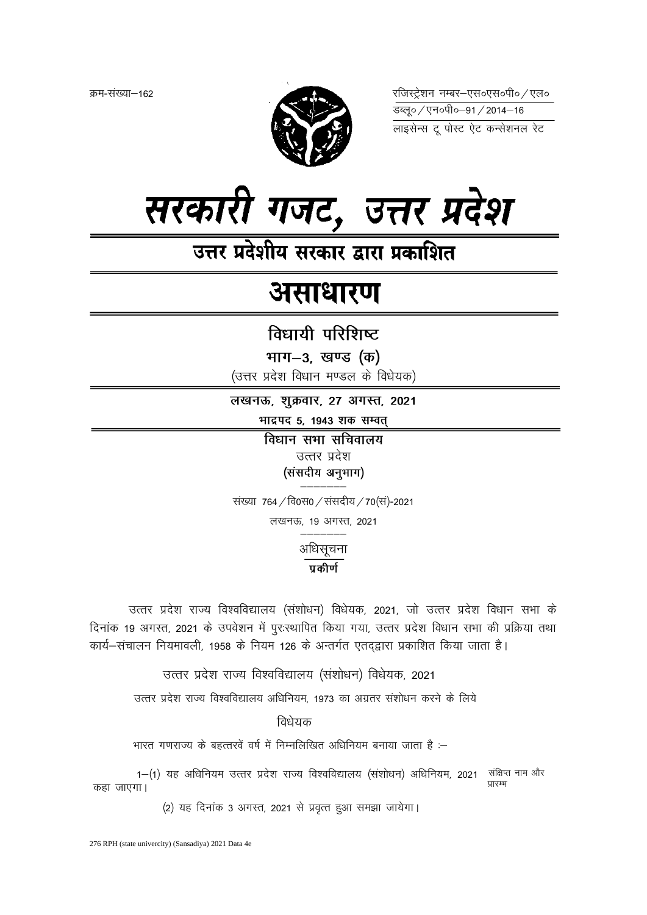क्रम-संख्या–162



रजिस्ट्रेशन नम्बर-एस०एस०पी० / एल० <del>उ</del>ब्ल्० / एन०पी०–91 / 2014–16



उत्तर प्रदेशीय सरकार द्वारा प्रकाशित

# असाधारण

विधायी परिशिष्ट

भाग-3, खण्ड (क)

(उत्तर प्रदेश विधान मण्डल के विधेयक)

लखनऊ, शुक्रवार, 27 अगस्त, 2021

भाद्रपद 5, 1943 शक सम्वत्

विधान सभा सचिवालय उत्तर प्रदेश (संसदीय अनुभाग)

संख्या 764 / वि0स0 / संसदीय / 70 (सं)-2021

लखनऊ, 19 अगस्त, 2021

अधिसूचना

## $\overline{\mathtt{u}}$ कीर्ण

उत्तर प्रदेश राज्य विश्वविद्यालय (संशोधन) विधेयक, 2021, जो उत्तर प्रदेश विधान सभा के दिनांक 19 अगस्त, 2021 के उपवेशन में पुरःस्थापित किया गया, उत्तर प्रदेश विधान सभा की प्रक्रिया तथा कार्य-संचालन नियमावली, 1958 के नियम 126 के अन्तर्गत एतद्द्वारा प्रकाशित किया जाता है।

उत्तर प्रदेश राज्य विश्वविद्यालय (संशोधन) विधेयक, 2021

उत्तर प्रदेश राज्य विश्वविद्यालय अधिनियम. 1973 का अग्रतर संशोधन करने के लिये

विधेयक

भारत गणराज्य के बहत्तरवें वर्ष में निम्नलिखित अधिनियम बनाया जाता है :–

1-(1) यह अधिनियम उत्तर प्रदेश राज्य विश्वविद्यालय (संशोधन) अधिनियम, 2021 संक्षिप्त नाम और प्रारम्भ कहा जाएगा।

(2) यह दिनांक 3 अगस्त, 2021 से प्रवृत्त हुआ समझा जायेगा।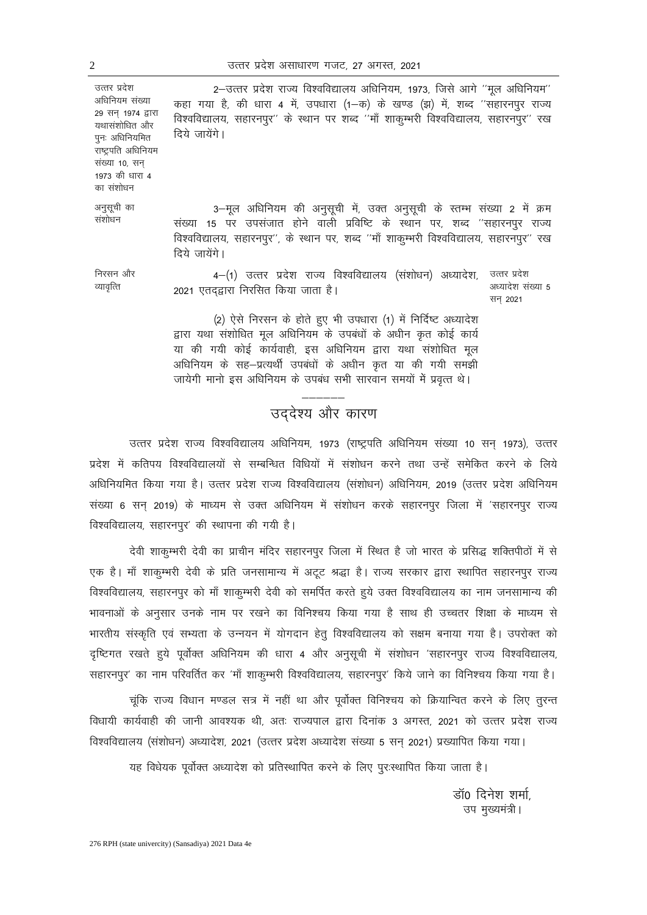अधिनियम संख्या

उत्तर प्रदेश

29 सन् 1974 द्वारा यथासंशोधित और पुनः अधिनियमित राष्ट्रपति अधिनियम संख्या 10, सन 1973 की धारा 4 का संशोधन

अनुसूची का संशोधन

निरसन और व्यावृत्ति

विश्वविद्यालय, सहारनपुर'' के स्थान पर शब्द ''माँ शाकुम्भरी विश्वविद्यालय, सहारनपुर'' रख दिये जायेंगे।

कहा गया है, की धारा 4 में, उपधारा (1-क) के खण्ड (झ) में, शब्द ''सहारनपुर राज्य

2-उत्तर प्रदेश राज्य विश्वविद्यालय अधिनियम, 1973, जिसे आगे "मूल अधिनियम"

3-मूल अधिनियम की अनुसुची में, उक्त अनुसुची के स्तम्भ संख्या 2 में क्रम संख्या 15 पर उपसंजात होने वाली प्रविष्टि के स्थान पर, शब्द ''सहारनपुर राज्य विश्वविद्यालय, सहारनपुर'', के स्थान पर, शब्द ''माँ शाकुम्भरी विश्वविद्यालय, सहारनपुर'' रख दिये जायेंगे।

4-(1) उत्तर प्रदेश राज्य विश्वविद्यालय (संशोधन) अध्यादेश, 2021 एतद्झारा निरसित किया जाता है। उत्तर प्रदेश अध्यादेश संख्या 5 सन् 2021

(2) ऐसे निरसन के होते हुए भी उपधारा (1) में निर्दिष्ट अध्यादेश द्वारा यथा संशोधित मूल अधिनियम के उपबंधों के अधीन कृत कोई कार्य या की गयी कोई कार्यवाही, इस अधिनियम द्वारा यथा संशोधित मूल अधिनियम के सह-प्रत्यर्थी उपबंधों के अधीन कृत या की गयी समझी जायेगी मानो इस अधिनियम के उपबंध सभी सारवान समयों में प्रवृत्त थे।

## —————— उद्देश्य और कारण

उत्तर प्रदेश राज्य विश्वविद्यालय अधिनियम, 1973 (राष्ट्रपति अधिनियम संख्या 10 सन् 1973), उत्तर प्रदेश में कतिपय विश्वविद्यालयों से सम्बन्धित विधियों में संशोधन करने तथा उन्हें समेकित करने के लिये अधिनियमित किया गया है। उत्तर प्रदेश राज्य विश्वविद्यालय (संशोधन) अधिनियम, 2019 (उत्तर प्रदेश अधिनियम संख्या 6 सन् 2019) के माध्यम से उक्त अधिनियम में संशोधन करके सहारनपुर जिला में 'सहारनपुर राज्य विश्वविद्यालय, सहारनपुर' की स्थापना की गयी है।

देवी शाकुम्भरी देवी का प्राचीन मंदिर सहारनपुर जिला में स्थित है जो भारत के प्रसिद्ध शक्तिपीठों में से एक है। माँ शाकुम्भरी देवी के प्रति जनसामान्य में अटूट श्रद्धा है। राज्य सरकार द्वारा स्थापित सहारनपुर राज्य विश्वविद्यालय, सहारनपुर को माँ शाकुम्भरी देवी को समर्पित करते हुये उक्त विश्वविद्यालय का नाम जनसामान्य की भावनाओं के अनुसार उनके नाम पर रखने का विनिश्चय किया गया है साथ ही उच्चतर शिक्षा के माध्यम से भारतीय संस्कृति एवं सभ्यता के उन्नयन में योगदान हेतू विश्वविद्यालय को सक्षम बनाया गया है। उपरोक्त को दृष्टिगत रखते हुये पूर्वोक्त अधिनियम की धारा 4 और अनुसूची में संशोधन 'सहारनपुर राज्य विश्वविद्यालय, सहारनपुर' का नाम परिवर्तित कर 'माँ शाकूम्भरी विश्वविद्यालय, सहारनपुर' किये जाने का विनिश्चय किया गया है।

चूंकि राज्य विधान मण्डल सत्र में नहीं था और पूर्वोक्त विनिश्चय को क्रियान्वित करने के लिए तुरन्त विधायी कार्यवाही की जानी आवश्यक थी, अतः राज्यपाल द्वारा दिनांक 3 अगस्त, 2021 को उत्तर प्रदेश राज्य विश्वविद्यालय (संशोधन) अध्यादेश, 2021 (उत्तर प्रदेश अध्यादेश संख्या 5 सन् 2021) प्रख्यापित किया गया।

यह विधेयक पूर्वोक्त अध्यादेश को प्रतिस्थापित करने के लिए पुरःस्थापित किया जाता है।

डॉ0 दिनेश शर्मा. उप मुख्यमंत्री।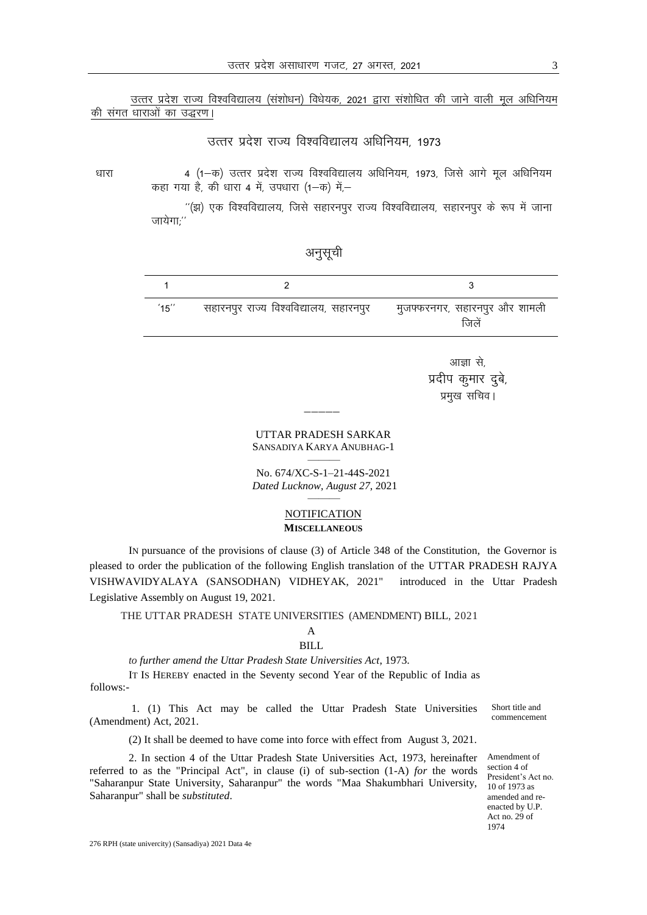उत्तर प्रदेश राज्य विश्वविद्यालय (संशोधन) विधेयक, 2021 द्वारा संशोधित की जाने वाली मूल अधिनियम की संगत धाराओं का उद्धरण।

## उत्तर प्रदेश राज्य विश्वविद्यालय अधिनियम, 1973

धारा 4 (1-क) उत्तर प्रदेश राज्य विश्वविद्यालय अधिनियम, 1973, जिसे आगे मूल अधिनियम कहा गया है, की धारा 4 में, उपधारा (1–क) में–

> $^{\prime\prime}$ (झ) एक विश्वविद्यालय, जिसे सहारनपुर राज्य विश्वविद्यालय, सहारनपुर के रूप में जाना  $\overline{\text{snd}}$ गाः $^{\prime\prime}$

| $15$ " | सहारनपुर राज्य विश्वविद्यालय, सहारनपुर | मुजफ्फरनगर, सहारनपुर और शामली<br>जिलें |
|--------|----------------------------------------|----------------------------------------|

अनुसूची

आज्ञा से, प्रदीप कुमार दुबे, प्रमुख सचिव।

#### UTTAR PRADESH SARKAR SANSADIYA KARYA ANUBHAG-1 ———

—————

No. 674/XC-S-1–21-44S-2021 *Dated Lucknow, August 27*, 2021 ———

#### **NOTIFICATION MISCELLANEOUS**

IN pursuance of the provisions of clause (3) of Article 348 of the Constitution, the Governor is pleased to order the publication of the following English translation of the UTTAR PRADESH RAJYA VISHWAVIDYALAYA (SANSODHAN) VIDHEYAK, 2021" introduced in the Uttar Pradesh Legislative Assembly on August 19, 2021.

THE UTTAR PRADESH STATE UNIVERSITIES (AMENDMENT) BILL, 2021

# A

### BILL

*to further amend the Uttar Pradesh State Universities Act*, 1973.

IT IS HEREBY enacted in the Seventy second Year of the Republic of India as follows:-

1. (1) This Act may be called the Uttar Pradesh State Universities (Amendment) Act, 2021.

(2) It shall be deemed to have come into force with effect from August 3, 2021.

2. In section 4 of the Uttar Pradesh State Universities Act, 1973, hereinafter referred to as the "Principal Act", in clause (i) of sub-section (1-A) *for* the words "Saharanpur State University, Saharanpur" the words "Maa Shakumbhari University, 10 of 1973 as Saharanpur" shall be *substituted*.

Amendment of section 4 of President's Act no. amended and reenacted by U.P. Act no. 29 of 1974

Short title and commencement